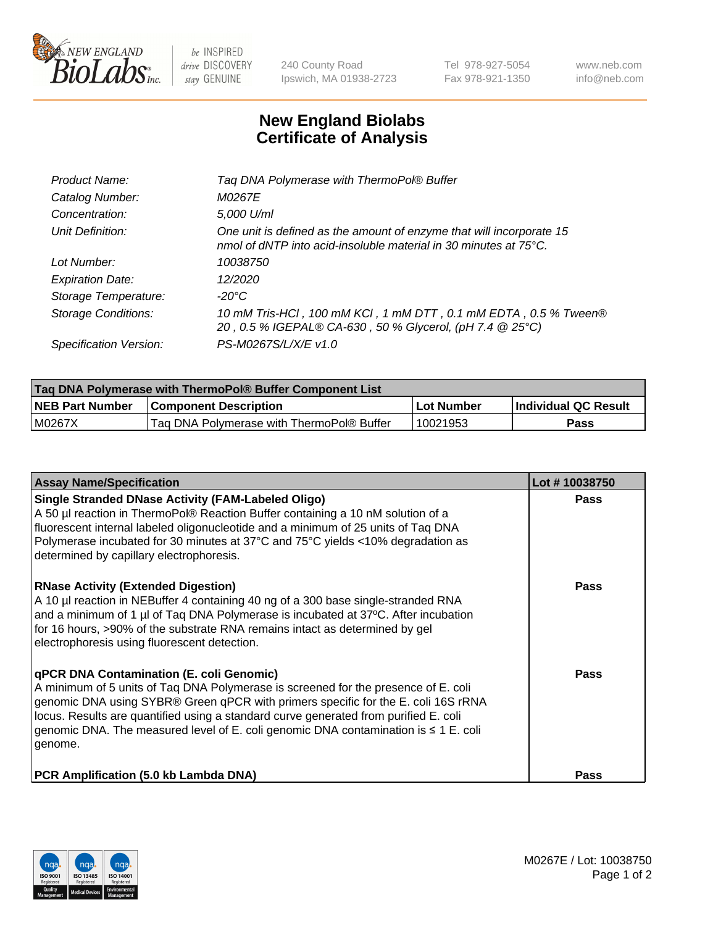

 $be$  INSPIRED drive DISCOVERY stay GENUINE

240 County Road Ipswich, MA 01938-2723 Tel 978-927-5054 Fax 978-921-1350 www.neb.com info@neb.com

## **New England Biolabs Certificate of Analysis**

| Taq DNA Polymerase with ThermoPol® Buffer                                                                                                |
|------------------------------------------------------------------------------------------------------------------------------------------|
| M0267E                                                                                                                                   |
| 5,000 U/ml                                                                                                                               |
| One unit is defined as the amount of enzyme that will incorporate 15<br>nmol of dNTP into acid-insoluble material in 30 minutes at 75°C. |
| 10038750                                                                                                                                 |
| 12/2020                                                                                                                                  |
| $-20^{\circ}$ C                                                                                                                          |
| 10 mM Tris-HCl, 100 mM KCl, 1 mM DTT, 0.1 mM EDTA, 0.5 % Tween®<br>20, 0.5 % IGEPAL® CA-630, 50 % Glycerol, (pH 7.4 @ 25°C)              |
| PS-M0267S/L/X/E v1.0                                                                                                                     |
|                                                                                                                                          |

| <b>Tag DNA Polymerase with ThermoPol® Buffer Component List</b> |                                           |            |                      |  |  |
|-----------------------------------------------------------------|-------------------------------------------|------------|----------------------|--|--|
| <b>NEB Part Number</b>                                          | <b>Component Description</b>              | Lot Number | Individual QC Result |  |  |
| MO267X                                                          | Tag DNA Polymerase with ThermoPol® Buffer | 10021953   | Pass                 |  |  |

| <b>Assay Name/Specification</b>                                                                                                                                                                                                                                                                                                                                                                               | Lot #10038750 |
|---------------------------------------------------------------------------------------------------------------------------------------------------------------------------------------------------------------------------------------------------------------------------------------------------------------------------------------------------------------------------------------------------------------|---------------|
| <b>Single Stranded DNase Activity (FAM-Labeled Oligo)</b><br>A 50 µl reaction in ThermoPol® Reaction Buffer containing a 10 nM solution of a<br>fluorescent internal labeled oligonucleotide and a minimum of 25 units of Taq DNA<br>Polymerase incubated for 30 minutes at 37°C and 75°C yields <10% degradation as<br>determined by capillary electrophoresis.                                              | <b>Pass</b>   |
| <b>RNase Activity (Extended Digestion)</b><br>A 10 µl reaction in NEBuffer 4 containing 40 ng of a 300 base single-stranded RNA<br>and a minimum of 1 $\mu$ of Taq DNA Polymerase is incubated at 37 $\degree$ C. After incubation<br>for 16 hours, >90% of the substrate RNA remains intact as determined by gel<br>electrophoresis using fluorescent detection.                                             | <b>Pass</b>   |
| qPCR DNA Contamination (E. coli Genomic)<br>A minimum of 5 units of Taq DNA Polymerase is screened for the presence of E. coli<br>genomic DNA using SYBR® Green qPCR with primers specific for the E. coli 16S rRNA<br>locus. Results are quantified using a standard curve generated from purified E. coli<br>genomic DNA. The measured level of E. coli genomic DNA contamination is ≤ 1 E. coli<br>genome. | <b>Pass</b>   |
| PCR Amplification (5.0 kb Lambda DNA)                                                                                                                                                                                                                                                                                                                                                                         | Pass          |